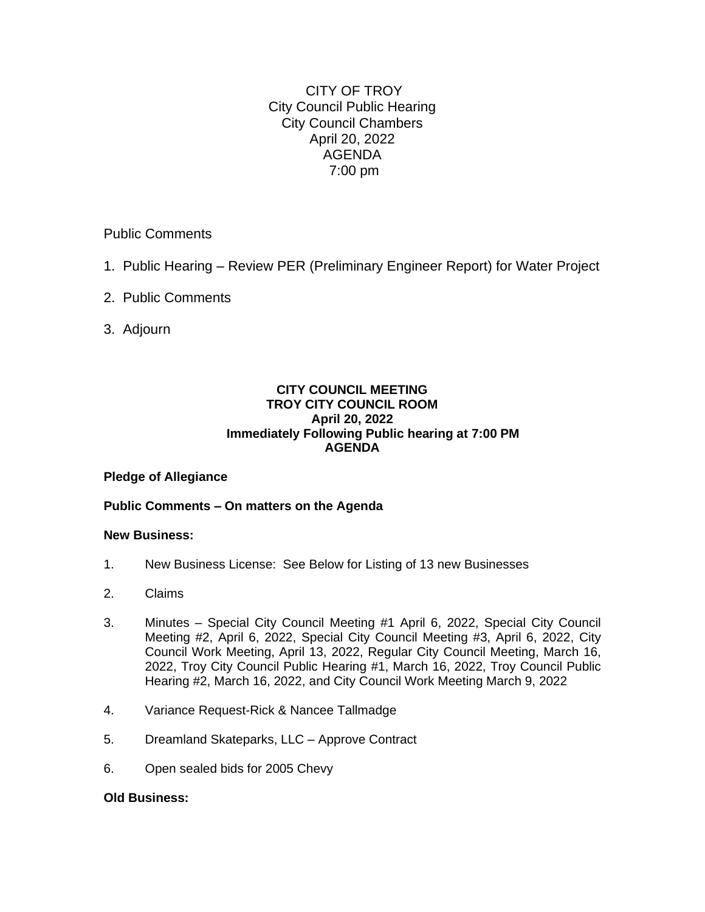CITY OF TROY City Council Public Hearing City Council Chambers April 20, 2022 AGENDA 7:00 pm

Public Comments

- 1. Public Hearing Review PER (Preliminary Engineer Report) for Water Project
- 2. Public Comments
- 3. Adjourn

#### **CITY COUNCIL MEETING TROY CITY COUNCIL ROOM April 20, 2022 Immediately Following Public hearing at 7:00 PM AGENDA**

## **Pledge of Allegiance**

## **Public Comments – On matters on the Agenda**

#### **New Business:**

- 1. New Business License: See Below for Listing of 13 new Businesses
- 2. Claims
- 3. Minutes Special City Council Meeting #1 April 6, 2022, Special City Council Meeting #2, April 6, 2022, Special City Council Meeting #3, April 6, 2022, City Council Work Meeting, April 13, 2022, Regular City Council Meeting, March 16, 2022, Troy City Council Public Hearing #1, March 16, 2022, Troy Council Public Hearing #2, March 16, 2022, and City Council Work Meeting March 9, 2022
- 4. Variance Request-Rick & Nancee Tallmadge
- 5. Dreamland Skateparks, LLC Approve Contract
- 6. Open sealed bids for 2005 Chevy

#### **Old Business:**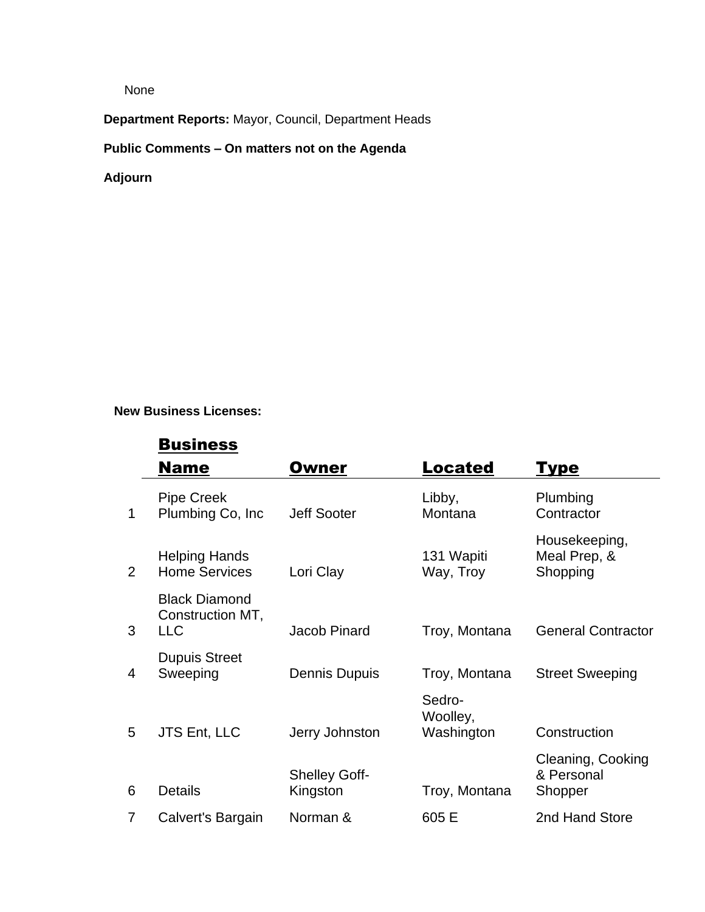None

**Department Reports:** Mayor, Council, Department Heads

# **Public Comments – On matters not on the Agenda**

**Adjourn**

# **New Business Licenses:**

# **Business**

|             | <b>Name</b>                                            | Owner                            | <b>Located</b>                   | Type                                       |
|-------------|--------------------------------------------------------|----------------------------------|----------------------------------|--------------------------------------------|
| $\mathbf 1$ | <b>Pipe Creek</b><br>Plumbing Co, Inc.                 | <b>Jeff Sooter</b>               | Libby,<br>Montana                | Plumbing<br>Contractor                     |
| 2           | <b>Helping Hands</b><br><b>Home Services</b>           | Lori Clay                        | 131 Wapiti<br>Way, Troy          | Housekeeping,<br>Meal Prep, &<br>Shopping  |
| 3           | <b>Black Diamond</b><br>Construction MT,<br><b>LLC</b> | Jacob Pinard                     | Troy, Montana                    | <b>General Contractor</b>                  |
| 4           | <b>Dupuis Street</b><br>Sweeping                       | Dennis Dupuis                    | Troy, Montana                    | <b>Street Sweeping</b>                     |
| 5           | JTS Ent, LLC                                           | Jerry Johnston                   | Sedro-<br>Woolley,<br>Washington | Construction                               |
| 6           | <b>Details</b>                                         | <b>Shelley Goff-</b><br>Kingston | Troy, Montana                    | Cleaning, Cooking<br>& Personal<br>Shopper |
| 7           | Calvert's Bargain                                      | Norman &                         | 605 E                            | 2nd Hand Store                             |